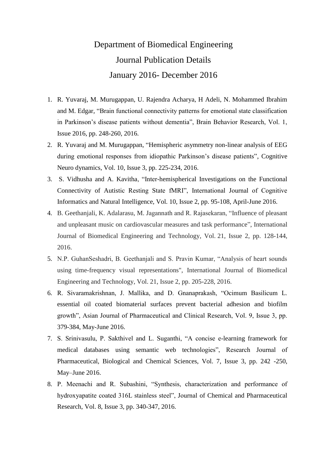## Department of Biomedical Engineering Journal Publication Details January 2016- December 2016

- 1. R. Yuvaraj, M. Murugappan, U. Rajendra Acharya, H Adeli, N. Mohammed Ibrahim and M. Edgar, "Brain functional connectivity patterns for emotional state classification in Parkinson's disease patients without dementia", Brain Behavior Research, Vol. 1, Issue 2016, pp. 248-260, 2016.
- 2. R. Yuvaraj and M. Murugappan, "Hemispheric asymmetry non-linear analysis of EEG during emotional responses from idiopathic Parkinson's disease patients", Cognitive Neuro dynamics, Vol. 10, Issue 3, pp. 225-234, 2016.
- 3. S. Vidhusha and A. Kavitha, "Inter-hemispherical Investigations on the Functional Connectivity of Autistic Resting State fMRI", International Journal of Cognitive Informatics and Natural Intelligence, Vol. 10, Issue 2, pp. 95-108, April-June 2016.
- 4. B. Geethanjali, K. Adalarasu, M. Jagannath and R. Rajasekaran, "Influence of pleasant and unpleasant music on cardiovascular measures and task performance", International Journal of Biomedical Engineering and Technology, Vol. 21, Issue 2, pp. 128-144, 2016.
- 5. N.P. GuhanSeshadri, B. Geethanjali and S. Pravin Kumar, "Analysis of heart sounds using time-frequency visual representations", International Journal of Biomedical Engineering and Technology, Vol. 21, Issue 2, pp. 205-228, 2016.
- 6. R. Sivaramakrishnan, J. Mallika, and D. Gnanaprakash, "Ocimum Basilicum L. essential oil coated biomaterial surfaces prevent bacterial adhesion and biofilm growth", Asian Journal of Pharmaceutical and Clinical Research, Vol. 9, Issue 3, pp. 379-384, May-June 2016.
- 7. S. Srinivasulu, P. Sakthivel and L. Suganthi, "A concise e-learning framework for medical databases using semantic web technologies", Research Journal of Pharmaceutical, Biological and Chemical Sciences, Vol. 7, Issue 3, pp. 242 -250, May–June 2016.
- 8. P. Meenachi and R. Subashini, "Synthesis, characterization and performance of hydroxyapatite coated 316L stainless steel", Journal of Chemical and Pharmaceutical Research, Vol. 8, Issue 3, pp. 340-347, 2016.